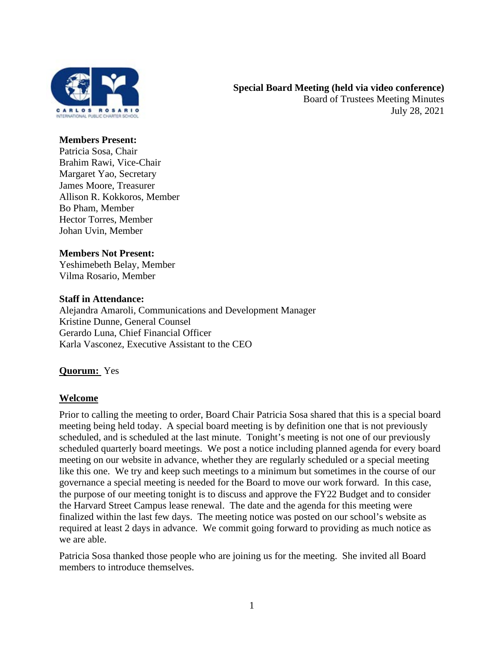

#### **Members Present:**

Patricia Sosa, Chair Brahim Rawi, Vice-Chair Margaret Yao, Secretary James Moore, Treasurer Allison R. Kokkoros, Member Bo Pham, Member Hector Torres, Member Johan Uvin, Member

## **Members Not Present:**

Yeshimebeth Belay, Member Vilma Rosario, Member

## **Staff in Attendance:**

Alejandra Amaroli, Communications and Development Manager Kristine Dunne, General Counsel Gerardo Luna, Chief Financial Officer Karla Vasconez, Executive Assistant to the CEO

## **Quorum:** Yes

## **Welcome**

Prior to calling the meeting to order, Board Chair Patricia Sosa shared that this is a special board meeting being held today. A special board meeting is by definition one that is not previously scheduled, and is scheduled at the last minute. Tonight's meeting is not one of our previously scheduled quarterly board meetings. We post a notice including planned agenda for every board meeting on our website in advance, whether they are regularly scheduled or a special meeting like this one. We try and keep such meetings to a minimum but sometimes in the course of our governance a special meeting is needed for the Board to move our work forward. In this case, the purpose of our meeting tonight is to discuss and approve the FY22 Budget and to consider the Harvard Street Campus lease renewal. The date and the agenda for this meeting were finalized within the last few days. The meeting notice was posted on our school's website as required at least 2 days in advance. We commit going forward to providing as much notice as we are able.

Patricia Sosa thanked those people who are joining us for the meeting. She invited all Board members to introduce themselves.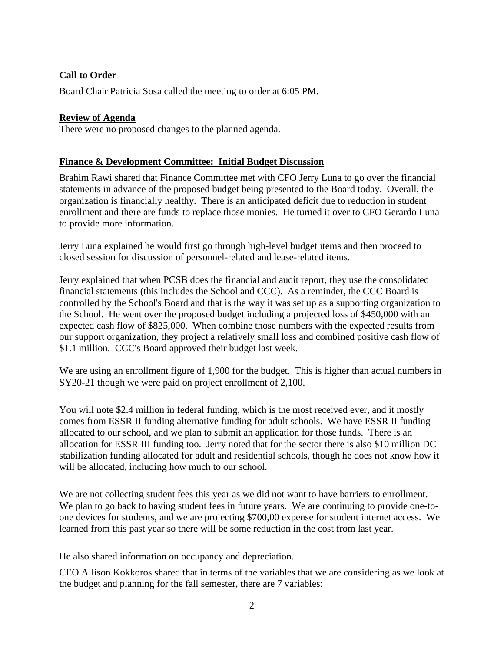# **Call to Order**

Board Chair Patricia Sosa called the meeting to order at 6:05 PM.

## **Review of Agenda**

There were no proposed changes to the planned agenda.

## **Finance & Development Committee: Initial Budget Discussion**

Brahim Rawi shared that Finance Committee met with CFO Jerry Luna to go over the financial statements in advance of the proposed budget being presented to the Board today. Overall, the organization is financially healthy. There is an anticipated deficit due to reduction in student enrollment and there are funds to replace those monies. He turned it over to CFO Gerardo Luna to provide more information.

Jerry Luna explained he would first go through high-level budget items and then proceed to closed session for discussion of personnel-related and lease-related items.

Jerry explained that when PCSB does the financial and audit report, they use the consolidated financial statements (this includes the School and CCC). As a reminder, the CCC Board is controlled by the School's Board and that is the way it was set up as a supporting organization to the School. He went over the proposed budget including a projected loss of \$450,000 with an expected cash flow of \$825,000. When combine those numbers with the expected results from our support organization, they project a relatively small loss and combined positive cash flow of \$1.1 million. CCC's Board approved their budget last week.

We are using an enrollment figure of 1,900 for the budget. This is higher than actual numbers in SY20-21 though we were paid on project enrollment of 2,100.

You will note \$2.4 million in federal funding, which is the most received ever, and it mostly comes from ESSR II funding alternative funding for adult schools. We have ESSR II funding allocated to our school, and we plan to submit an application for those funds. There is an allocation for ESSR III funding too. Jerry noted that for the sector there is also \$10 million DC stabilization funding allocated for adult and residential schools, though he does not know how it will be allocated, including how much to our school.

We are not collecting student fees this year as we did not want to have barriers to enrollment. We plan to go back to having student fees in future years. We are continuing to provide one-toone devices for students, and we are projecting \$700,00 expense for student internet access. We learned from this past year so there will be some reduction in the cost from last year.

He also shared information on occupancy and depreciation.

CEO Allison Kokkoros shared that in terms of the variables that we are considering as we look at the budget and planning for the fall semester, there are 7 variables: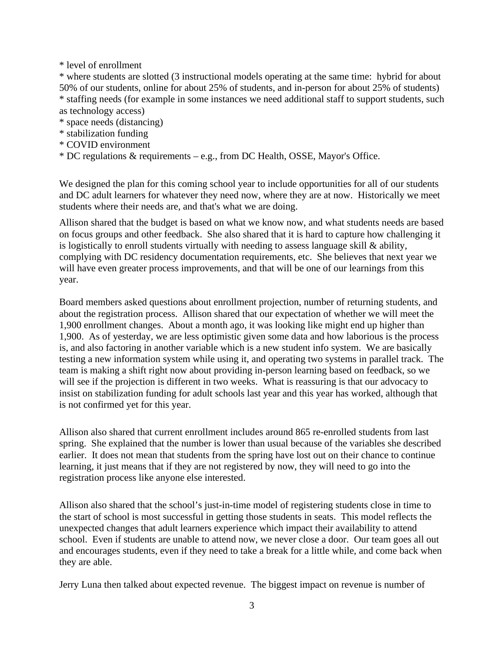\* level of enrollment

\* where students are slotted (3 instructional models operating at the same time: hybrid for about 50% of our students, online for about 25% of students, and in-person for about 25% of students) \* staffing needs (for example in some instances we need additional staff to support students, such as technology access)

- \* space needs (distancing)
- \* stabilization funding
- \* COVID environment
- \* DC regulations & requirements e.g., from DC Health, OSSE, Mayor's Office.

We designed the plan for this coming school year to include opportunities for all of our students and DC adult learners for whatever they need now, where they are at now. Historically we meet students where their needs are, and that's what we are doing.

Allison shared that the budget is based on what we know now, and what students needs are based on focus groups and other feedback. She also shared that it is hard to capture how challenging it is logistically to enroll students virtually with needing to assess language skill & ability, complying with DC residency documentation requirements, etc. She believes that next year we will have even greater process improvements, and that will be one of our learnings from this year.

Board members asked questions about enrollment projection, number of returning students, and about the registration process. Allison shared that our expectation of whether we will meet the 1,900 enrollment changes. About a month ago, it was looking like might end up higher than 1,900. As of yesterday, we are less optimistic given some data and how laborious is the process is, and also factoring in another variable which is a new student info system. We are basically testing a new information system while using it, and operating two systems in parallel track. The team is making a shift right now about providing in-person learning based on feedback, so we will see if the projection is different in two weeks. What is reassuring is that our advocacy to insist on stabilization funding for adult schools last year and this year has worked, although that is not confirmed yet for this year.

Allison also shared that current enrollment includes around 865 re-enrolled students from last spring. She explained that the number is lower than usual because of the variables she described earlier. It does not mean that students from the spring have lost out on their chance to continue learning, it just means that if they are not registered by now, they will need to go into the registration process like anyone else interested.

Allison also shared that the school's just-in-time model of registering students close in time to the start of school is most successful in getting those students in seats. This model reflects the unexpected changes that adult learners experience which impact their availability to attend school. Even if students are unable to attend now, we never close a door. Our team goes all out and encourages students, even if they need to take a break for a little while, and come back when they are able.

Jerry Luna then talked about expected revenue. The biggest impact on revenue is number of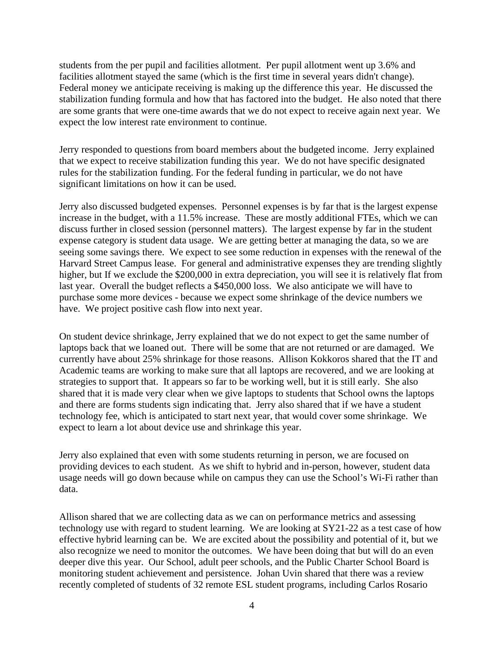students from the per pupil and facilities allotment. Per pupil allotment went up 3.6% and facilities allotment stayed the same (which is the first time in several years didn't change). Federal money we anticipate receiving is making up the difference this year. He discussed the stabilization funding formula and how that has factored into the budget. He also noted that there are some grants that were one-time awards that we do not expect to receive again next year. We expect the low interest rate environment to continue.

Jerry responded to questions from board members about the budgeted income. Jerry explained that we expect to receive stabilization funding this year. We do not have specific designated rules for the stabilization funding. For the federal funding in particular, we do not have significant limitations on how it can be used.

Jerry also discussed budgeted expenses. Personnel expenses is by far that is the largest expense increase in the budget, with a 11.5% increase. These are mostly additional FTEs, which we can discuss further in closed session (personnel matters). The largest expense by far in the student expense category is student data usage. We are getting better at managing the data, so we are seeing some savings there. We expect to see some reduction in expenses with the renewal of the Harvard Street Campus lease. For general and administrative expenses they are trending slightly higher, but If we exclude the \$200,000 in extra depreciation, you will see it is relatively flat from last year. Overall the budget reflects a \$450,000 loss. We also anticipate we will have to purchase some more devices - because we expect some shrinkage of the device numbers we have. We project positive cash flow into next year.

On student device shrinkage, Jerry explained that we do not expect to get the same number of laptops back that we loaned out. There will be some that are not returned or are damaged. We currently have about 25% shrinkage for those reasons. Allison Kokkoros shared that the IT and Academic teams are working to make sure that all laptops are recovered, and we are looking at strategies to support that. It appears so far to be working well, but it is still early. She also shared that it is made very clear when we give laptops to students that School owns the laptops and there are forms students sign indicating that. Jerry also shared that if we have a student technology fee, which is anticipated to start next year, that would cover some shrinkage. We expect to learn a lot about device use and shrinkage this year.

Jerry also explained that even with some students returning in person, we are focused on providing devices to each student. As we shift to hybrid and in-person, however, student data usage needs will go down because while on campus they can use the School's Wi-Fi rather than data.

Allison shared that we are collecting data as we can on performance metrics and assessing technology use with regard to student learning. We are looking at SY21-22 as a test case of how effective hybrid learning can be. We are excited about the possibility and potential of it, but we also recognize we need to monitor the outcomes. We have been doing that but will do an even deeper dive this year. Our School, adult peer schools, and the Public Charter School Board is monitoring student achievement and persistence. Johan Uvin shared that there was a review recently completed of students of 32 remote ESL student programs, including Carlos Rosario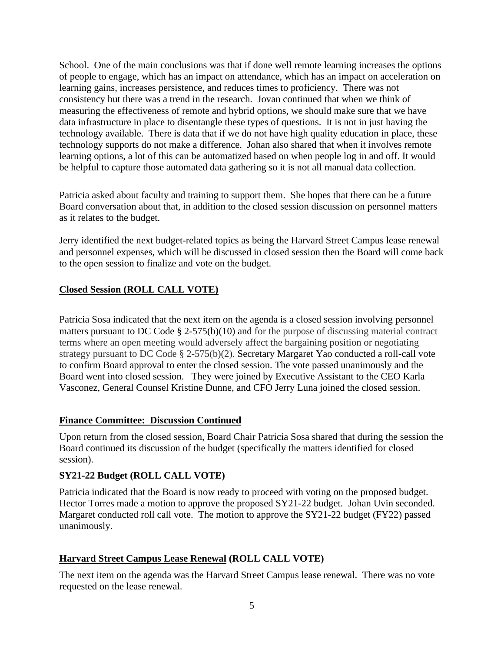School. One of the main conclusions was that if done well remote learning increases the options of people to engage, which has an impact on attendance, which has an impact on acceleration on learning gains, increases persistence, and reduces times to proficiency. There was not consistency but there was a trend in the research. Jovan continued that when we think of measuring the effectiveness of remote and hybrid options, we should make sure that we have data infrastructure in place to disentangle these types of questions. It is not in just having the technology available. There is data that if we do not have high quality education in place, these technology supports do not make a difference. Johan also shared that when it involves remote learning options, a lot of this can be automatized based on when people log in and off. It would be helpful to capture those automated data gathering so it is not all manual data collection.

Patricia asked about faculty and training to support them. She hopes that there can be a future Board conversation about that, in addition to the closed session discussion on personnel matters as it relates to the budget.

Jerry identified the next budget-related topics as being the Harvard Street Campus lease renewal and personnel expenses, which will be discussed in closed session then the Board will come back to the open session to finalize and vote on the budget.

# **Closed Session (ROLL CALL VOTE)**

Patricia Sosa indicated that the next item on the agenda is a closed session involving personnel matters pursuant to DC Code § 2-575(b)(10) and for the purpose of discussing material contract terms where an open meeting would adversely affect the bargaining position or negotiating strategy pursuant to DC Code § 2-575(b)(2). Secretary Margaret Yao conducted a roll-call vote to confirm Board approval to enter the closed session. The vote passed unanimously and the Board went into closed session. They were joined by Executive Assistant to the CEO Karla Vasconez, General Counsel Kristine Dunne, and CFO Jerry Luna joined the closed session.

# **Finance Committee: Discussion Continued**

Upon return from the closed session, Board Chair Patricia Sosa shared that during the session the Board continued its discussion of the budget (specifically the matters identified for closed session).

# **SY21-22 Budget (ROLL CALL VOTE)**

Patricia indicated that the Board is now ready to proceed with voting on the proposed budget. Hector Torres made a motion to approve the proposed SY21-22 budget. Johan Uvin seconded. Margaret conducted roll call vote. The motion to approve the SY21-22 budget (FY22) passed unanimously.

# **Harvard Street Campus Lease Renewal (ROLL CALL VOTE)**

The next item on the agenda was the Harvard Street Campus lease renewal. There was no vote requested on the lease renewal.